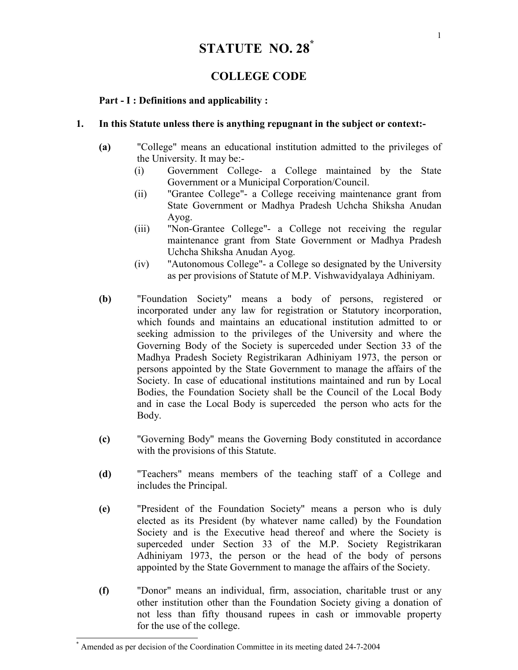# STATUTE NO. 28\*

# COLLEGE CODE

# Part - I : Definitions and applicability :

### 1. In this Statute unless there is anything repugnant in the subject or context:-

- (a) "College" means an educational institution admitted to the privileges of the University. It may be:-
	- (i) Government College- a College maintained by the State Government or a Municipal Corporation/Council.
	- (ii) "Grantee College"- a College receiving maintenance grant from State Government or Madhya Pradesh Uchcha Shiksha Anudan Ayog.
	- (iii) "Non-Grantee College"- a College not receiving the regular maintenance grant from State Government or Madhya Pradesh Uchcha Shiksha Anudan Ayog.
	- (iv) "Autonomous College"- a College so designated by the University as per provisions of Statute of M.P. Vishwavidyalaya Adhiniyam.
- (b) "Foundation Society" means a body of persons, registered or incorporated under any law for registration or Statutory incorporation, which founds and maintains an educational institution admitted to or seeking admission to the privileges of the University and where the Governing Body of the Society is superceded under Section 33 of the Madhya Pradesh Society Registrikaran Adhiniyam 1973, the person or persons appointed by the State Government to manage the affairs of the Society. In case of educational institutions maintained and run by Local Bodies, the Foundation Society shall be the Council of the Local Body and in case the Local Body is superceded the person who acts for the Body.
- (c) "Governing Body" means the Governing Body constituted in accordance with the provisions of this Statute.
- (d) "Teachers" means members of the teaching staff of a College and includes the Principal.
- (e) "President of the Foundation Society" means a person who is duly elected as its President (by whatever name called) by the Foundation Society and is the Executive head thereof and where the Society is superceded under Section 33 of the M.P. Society Registrikaran Adhiniyam 1973, the person or the head of the body of persons appointed by the State Government to manage the affairs of the Society.
- (f) "Donor" means an individual, firm, association, charitable trust or any other institution other than the Foundation Society giving a donation of not less than fifty thousand rupees in cash or immovable property for the use of the college.

 $\overline{\phantom{a}}$ 

<sup>\*</sup> Amended as per decision of the Coordination Committee in its meeting dated 24-7-2004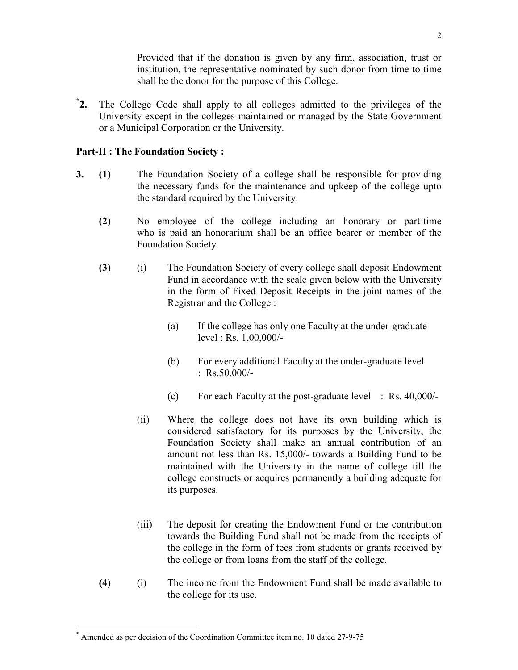Provided that if the donation is given by any firm, association, trust or institution, the representative nominated by such donor from time to time shall be the donor for the purpose of this College.

 $^{\ast}$ 2. 2. The College Code shall apply to all colleges admitted to the privileges of the University except in the colleges maintained or managed by the State Government or a Municipal Corporation or the University.

## Part-II : The Foundation Society :

- 3. (1) The Foundation Society of a college shall be responsible for providing the necessary funds for the maintenance and upkeep of the college upto the standard required by the University.
	- (2) No employee of the college including an honorary or part-time who is paid an honorarium shall be an office bearer or member of the Foundation Society.
	- (3) (i) The Foundation Society of every college shall deposit Endowment Fund in accordance with the scale given below with the University in the form of Fixed Deposit Receipts in the joint names of the Registrar and the College :
		- (a) If the college has only one Faculty at the under-graduate level : Rs. 1,00,000/-
		- (b) For every additional Faculty at the under-graduate level :  $Rs.50,000/-$
		- (c) For each Faculty at the post-graduate level : Rs. 40,000/-
		- (ii) Where the college does not have its own building which is considered satisfactory for its purposes by the University, the Foundation Society shall make an annual contribution of an amount not less than Rs. 15,000/- towards a Building Fund to be maintained with the University in the name of college till the college constructs or acquires permanently a building adequate for its purposes.
		- (iii) The deposit for creating the Endowment Fund or the contribution towards the Building Fund shall not be made from the receipts of the college in the form of fees from students or grants received by the college or from loans from the staff of the college.
	- (4) (i) The income from the Endowment Fund shall be made available to the college for its use.

 \* Amended as per decision of the Coordination Committee item no. 10 dated 27-9-75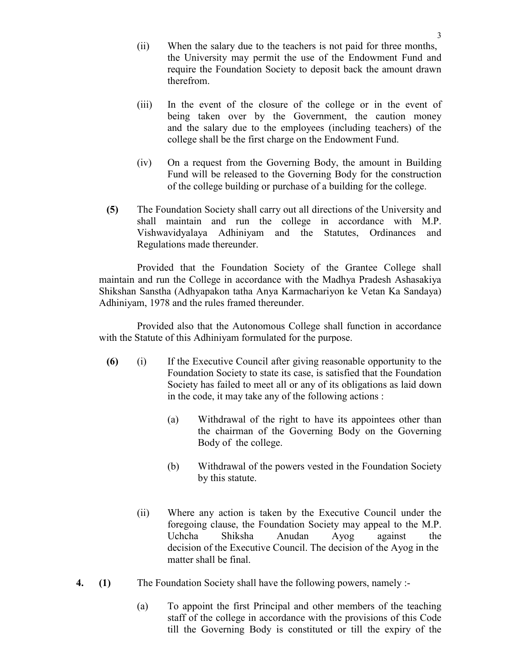- (ii) When the salary due to the teachers is not paid for three months, the University may permit the use of the Endowment Fund and require the Foundation Society to deposit back the amount drawn therefrom.
- (iii) In the event of the closure of the college or in the event of being taken over by the Government, the caution money and the salary due to the employees (including teachers) of the college shall be the first charge on the Endowment Fund.
- (iv) On a request from the Governing Body, the amount in Building Fund will be released to the Governing Body for the construction of the college building or purchase of a building for the college.
- (5) The Foundation Society shall carry out all directions of the University and shall maintain and run the college in accordance with M.P. Vishwavidyalaya Adhiniyam and the Statutes, Ordinances and Regulations made thereunder.

 Provided that the Foundation Society of the Grantee College shall maintain and run the College in accordance with the Madhya Pradesh Ashasakiya Shikshan Sanstha (Adhyapakon tatha Anya Karmachariyon ke Vetan Ka Sandaya) Adhiniyam, 1978 and the rules framed thereunder.

 Provided also that the Autonomous College shall function in accordance with the Statute of this Adhiniyam formulated for the purpose.

- (6) (i) If the Executive Council after giving reasonable opportunity to the Foundation Society to state its case, is satisfied that the Foundation Society has failed to meet all or any of its obligations as laid down in the code, it may take any of the following actions :
	- (a) Withdrawal of the right to have its appointees other than the chairman of the Governing Body on the Governing Body of the college.
	- (b) Withdrawal of the powers vested in the Foundation Society by this statute.
- (ii) Where any action is taken by the Executive Council under the foregoing clause, the Foundation Society may appeal to the M.P. Uchcha Shiksha Anudan Ayog against the decision of the Executive Council. The decision of the Ayog in the matter shall be final.
- 4. (1) The Foundation Society shall have the following powers, namely :-
	- (a) To appoint the first Principal and other members of the teaching staff of the college in accordance with the provisions of this Code till the Governing Body is constituted or till the expiry of the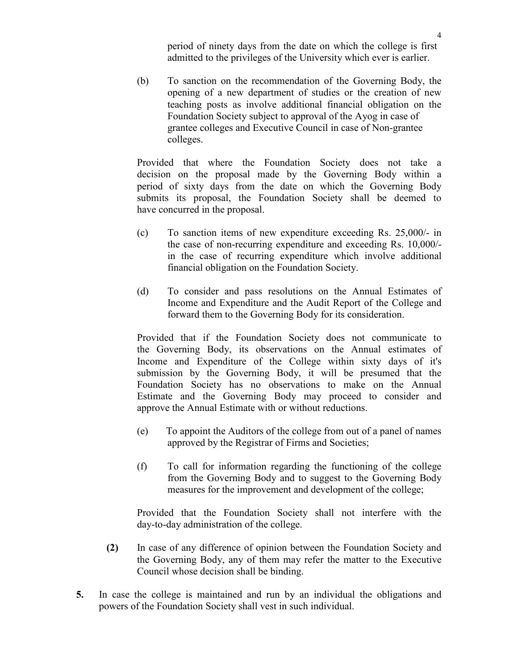period of ninety days from the date on which the college is first admitted to the privileges of the University which ever is earlier.

 (b) To sanction on the recommendation of the Governing Body, the opening of a new department of studies or the creation of new teaching posts as involve additional financial obligation on the Foundation Society subject to approval of the Ayog in case of grantee colleges and Executive Council in case of Non-grantee colleges.

 Provided that where the Foundation Society does not take a decision on the proposal made by the Governing Body within a period of sixty days from the date on which the Governing Body submits its proposal, the Foundation Society shall be deemed to have concurred in the proposal.

- (c) To sanction items of new expenditure exceeding Rs. 25,000/- in the case of non-recurring expenditure and exceeding Rs. 10,000/ in the case of recurring expenditure which involve additional financial obligation on the Foundation Society.
- (d) To consider and pass resolutions on the Annual Estimates of Income and Expenditure and the Audit Report of the College and forward them to the Governing Body for its consideration.

 Provided that if the Foundation Society does not communicate to the Governing Body, its observations on the Annual estimates of Income and Expenditure of the College within sixty days of it's submission by the Governing Body, it will be presumed that the Foundation Society has no observations to make on the Annual Estimate and the Governing Body may proceed to consider and approve the Annual Estimate with or without reductions.

- (e) To appoint the Auditors of the college from out of a panel of names approved by the Registrar of Firms and Societies;
- (f) To call for information regarding the functioning of the college from the Governing Body and to suggest to the Governing Body measures for the improvement and development of the college;

 Provided that the Foundation Society shall not interfere with the day-to-day administration of the college.

- (2) In case of any difference of opinion between the Foundation Society and the Governing Body, any of them may refer the matter to the Executive Council whose decision shall be binding.
- 5. In case the college is maintained and run by an individual the obligations and powers of the Foundation Society shall vest in such individual.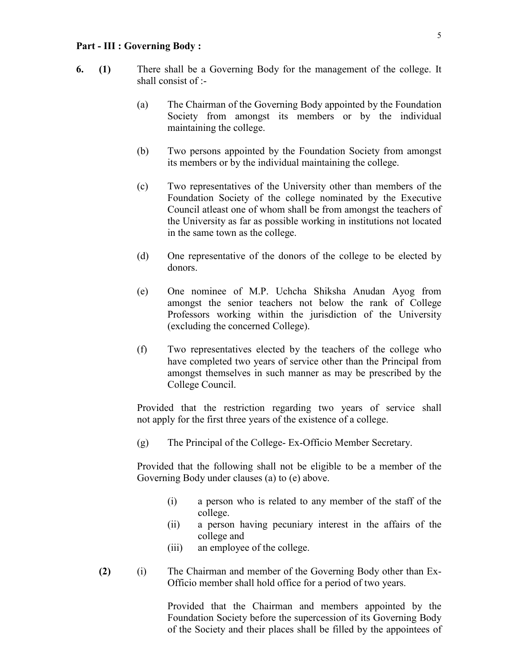#### Part - III : Governing Body :

- 6. (1) There shall be a Governing Body for the management of the college. It shall consist of :-
	- (a) The Chairman of the Governing Body appointed by the Foundation Society from amongst its members or by the individual maintaining the college.
	- (b) Two persons appointed by the Foundation Society from amongst its members or by the individual maintaining the college.
	- (c) Two representatives of the University other than members of the Foundation Society of the college nominated by the Executive Council atleast one of whom shall be from amongst the teachers of the University as far as possible working in institutions not located in the same town as the college.
	- (d) One representative of the donors of the college to be elected by donors.
	- (e) One nominee of M.P. Uchcha Shiksha Anudan Ayog from amongst the senior teachers not below the rank of College Professors working within the jurisdiction of the University (excluding the concerned College).
	- (f) Two representatives elected by the teachers of the college who have completed two years of service other than the Principal from amongst themselves in such manner as may be prescribed by the College Council.

 Provided that the restriction regarding two years of service shall not apply for the first three years of the existence of a college.

(g) The Principal of the College- Ex-Officio Member Secretary.

Provided that the following shall not be eligible to be a member of the Governing Body under clauses (a) to (e) above.

- (i) a person who is related to any member of the staff of the college.
- (ii) a person having pecuniary interest in the affairs of the college and
- (iii) an employee of the college.
- (2) (i) The Chairman and member of the Governing Body other than Ex- Officio member shall hold office for a period of two years.

Provided that the Chairman and members appointed by the Foundation Society before the supercession of its Governing Body of the Society and their places shall be filled by the appointees of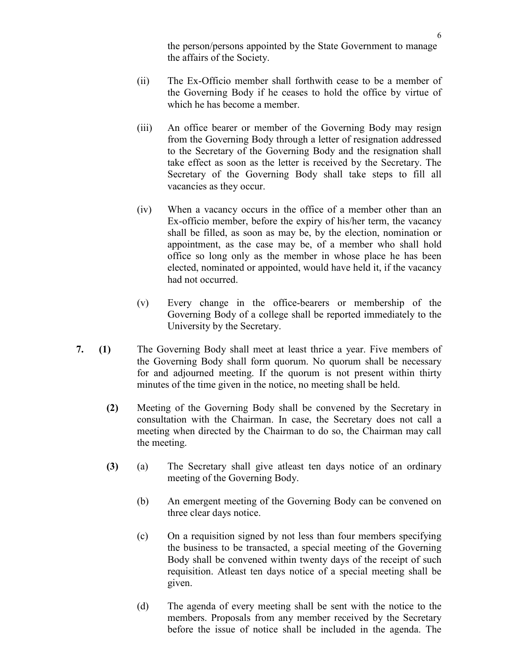the person/persons appointed by the State Government to manage the affairs of the Society.

- (ii) The Ex-Officio member shall forthwith cease to be a member of the Governing Body if he ceases to hold the office by virtue of which he has become a member.
- (iii) An office bearer or member of the Governing Body may resign from the Governing Body through a letter of resignation addressed to the Secretary of the Governing Body and the resignation shall take effect as soon as the letter is received by the Secretary. The Secretary of the Governing Body shall take steps to fill all vacancies as they occur.
- (iv) When a vacancy occurs in the office of a member other than an Ex-officio member, before the expiry of his/her term, the vacancy shall be filled, as soon as may be, by the election, nomination or appointment, as the case may be, of a member who shall hold office so long only as the member in whose place he has been elected, nominated or appointed, would have held it, if the vacancy had not occurred.
- (v) Every change in the office-bearers or membership of the Governing Body of a college shall be reported immediately to the University by the Secretary.
- 7. (1) The Governing Body shall meet at least thrice a year. Five members of the Governing Body shall form quorum. No quorum shall be necessary for and adjourned meeting. If the quorum is not present within thirty minutes of the time given in the notice, no meeting shall be held.
	- (2) Meeting of the Governing Body shall be convened by the Secretary in consultation with the Chairman. In case, the Secretary does not call a meeting when directed by the Chairman to do so, the Chairman may call the meeting.
	- (3) (a) The Secretary shall give atleast ten days notice of an ordinary meeting of the Governing Body.
		- (b) An emergent meeting of the Governing Body can be convened on three clear days notice.
		- (c) On a requisition signed by not less than four members specifying the business to be transacted, a special meeting of the Governing Body shall be convened within twenty days of the receipt of such requisition. Atleast ten days notice of a special meeting shall be given.
		- (d) The agenda of every meeting shall be sent with the notice to the members. Proposals from any member received by the Secretary before the issue of notice shall be included in the agenda. The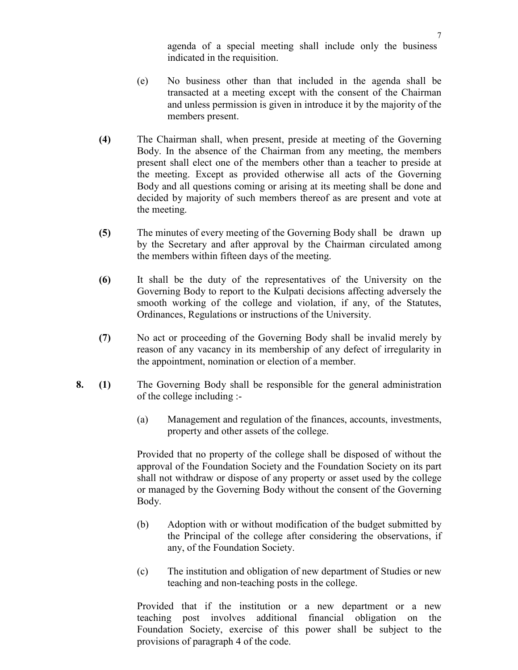agenda of a special meeting shall include only the business indicated in the requisition.

- (e) No business other than that included in the agenda shall be transacted at a meeting except with the consent of the Chairman and unless permission is given in introduce it by the majority of the members present.
- (4) The Chairman shall, when present, preside at meeting of the Governing Body. In the absence of the Chairman from any meeting, the members present shall elect one of the members other than a teacher to preside at the meeting. Except as provided otherwise all acts of the Governing Body and all questions coming or arising at its meeting shall be done and decided by majority of such members thereof as are present and vote at the meeting.
- (5) The minutes of every meeting of the Governing Body shall be drawn up by the Secretary and after approval by the Chairman circulated among the members within fifteen days of the meeting.
- (6) It shall be the duty of the representatives of the University on the Governing Body to report to the Kulpati decisions affecting adversely the smooth working of the college and violation, if any, of the Statutes, Ordinances, Regulations or instructions of the University.
- (7) No act or proceeding of the Governing Body shall be invalid merely by reason of any vacancy in its membership of any defect of irregularity in the appointment, nomination or election of a member.
- 8. (1) The Governing Body shall be responsible for the general administration of the college including :-
	- (a) Management and regulation of the finances, accounts, investments, property and other assets of the college.

Provided that no property of the college shall be disposed of without the approval of the Foundation Society and the Foundation Society on its part shall not withdraw or dispose of any property or asset used by the college or managed by the Governing Body without the consent of the Governing Body.

- (b) Adoption with or without modification of the budget submitted by the Principal of the college after considering the observations, if any, of the Foundation Society.
- (c) The institution and obligation of new department of Studies or new teaching and non-teaching posts in the college.

 Provided that if the institution or a new department or a new teaching post involves additional financial obligation on the Foundation Society, exercise of this power shall be subject to the provisions of paragraph 4 of the code.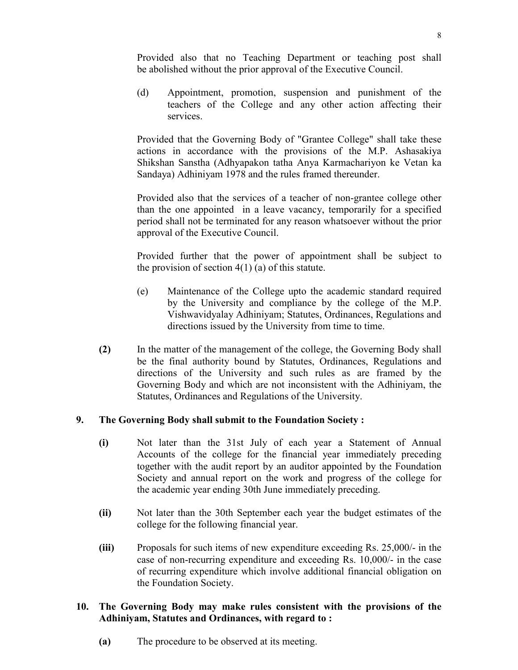Provided also that no Teaching Department or teaching post shall be abolished without the prior approval of the Executive Council.

 (d) Appointment, promotion, suspension and punishment of the teachers of the College and any other action affecting their services.

 Provided that the Governing Body of "Grantee College" shall take these actions in accordance with the provisions of the M.P. Ashasakiya Shikshan Sanstha (Adhyapakon tatha Anya Karmachariyon ke Vetan ka Sandaya) Adhiniyam 1978 and the rules framed thereunder.

 Provided also that the services of a teacher of non-grantee college other than the one appointed in a leave vacancy, temporarily for a specified period shall not be terminated for any reason whatsoever without the prior approval of the Executive Council.

 Provided further that the power of appointment shall be subject to the provision of section  $4(1)$  (a) of this statute.

- (e) Maintenance of the College upto the academic standard required by the University and compliance by the college of the M.P. Vishwavidyalay Adhiniyam; Statutes, Ordinances, Regulations and directions issued by the University from time to time.
- (2) In the matter of the management of the college, the Governing Body shall be the final authority bound by Statutes, Ordinances, Regulations and directions of the University and such rules as are framed by the Governing Body and which are not inconsistent with the Adhiniyam, the Statutes, Ordinances and Regulations of the University.

# 9. The Governing Body shall submit to the Foundation Society :

- (i) Not later than the 31st July of each year a Statement of Annual Accounts of the college for the financial year immediately preceding together with the audit report by an auditor appointed by the Foundation Society and annual report on the work and progress of the college for the academic year ending 30th June immediately preceding.
- (ii) Not later than the 30th September each year the budget estimates of the college for the following financial year.
- (iii) Proposals for such items of new expenditure exceeding Rs. 25,000/- in the case of non-recurring expenditure and exceeding Rs. 10,000/- in the case of recurring expenditure which involve additional financial obligation on the Foundation Society.

### 10. The Governing Body may make rules consistent with the provisions of the Adhiniyam, Statutes and Ordinances, with regard to :

(a) The procedure to be observed at its meeting.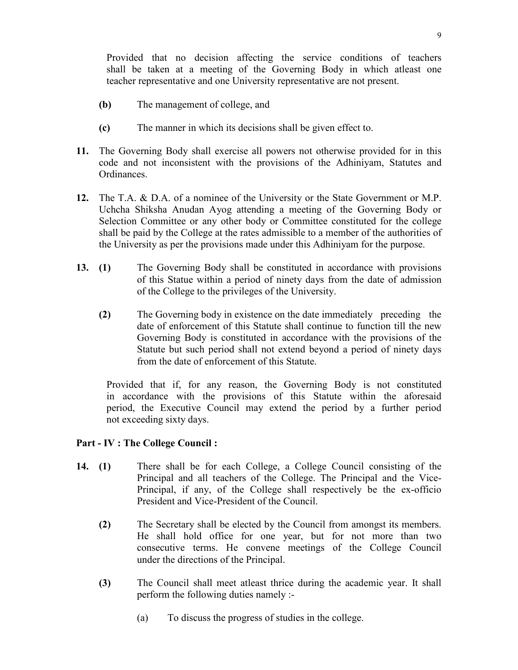Provided that no decision affecting the service conditions of teachers shall be taken at a meeting of the Governing Body in which atleast one teacher representative and one University representative are not present.

- (b) The management of college, and
- (c) The manner in which its decisions shall be given effect to.
- 11. The Governing Body shall exercise all powers not otherwise provided for in this code and not inconsistent with the provisions of the Adhiniyam, Statutes and **Ordinances**
- 12. The T.A. & D.A. of a nominee of the University or the State Government or M.P. Uchcha Shiksha Anudan Ayog attending a meeting of the Governing Body or Selection Committee or any other body or Committee constituted for the college shall be paid by the College at the rates admissible to a member of the authorities of the University as per the provisions made under this Adhiniyam for the purpose.
- 13. (1) The Governing Body shall be constituted in accordance with provisions of this Statue within a period of ninety days from the date of admission of the College to the privileges of the University.
	- (2) The Governing body in existence on the date immediately preceding the date of enforcement of this Statute shall continue to function till the new Governing Body is constituted in accordance with the provisions of the Statute but such period shall not extend beyond a period of ninety days from the date of enforcement of this Statute.

 Provided that if, for any reason, the Governing Body is not constituted in accordance with the provisions of this Statute within the aforesaid period, the Executive Council may extend the period by a further period not exceeding sixty days.

# Part - IV : The College Council :

- 14. (1) There shall be for each College, a College Council consisting of the Principal and all teachers of the College. The Principal and the Vice- Principal, if any, of the College shall respectively be the ex-officio President and Vice-President of the Council.
	- (2) The Secretary shall be elected by the Council from amongst its members. He shall hold office for one year, but for not more than two consecutive terms. He convene meetings of the College Council under the directions of the Principal.
	- (3) The Council shall meet atleast thrice during the academic year. It shall perform the following duties namely :-
		- (a) To discuss the progress of studies in the college.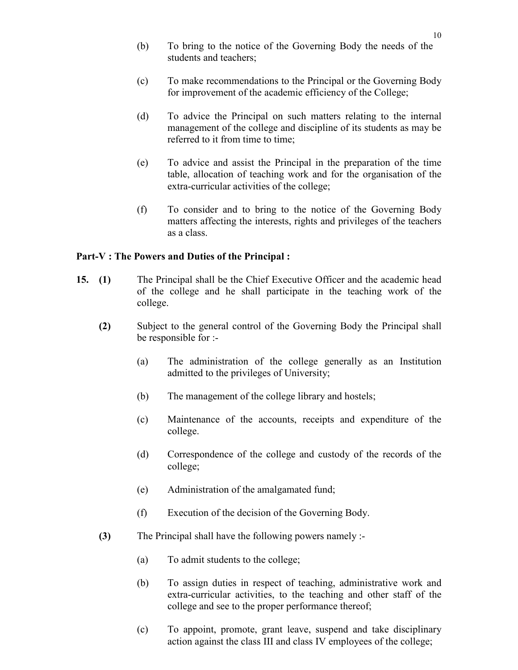- (b) To bring to the notice of the Governing Body the needs of the students and teachers;
- (c) To make recommendations to the Principal or the Governing Body for improvement of the academic efficiency of the College;
- (d) To advice the Principal on such matters relating to the internal management of the college and discipline of its students as may be referred to it from time to time;
- (e) To advice and assist the Principal in the preparation of the time table, allocation of teaching work and for the organisation of the extra-curricular activities of the college;
- (f) To consider and to bring to the notice of the Governing Body matters affecting the interests, rights and privileges of the teachers as a class.

#### Part-V : The Powers and Duties of the Principal :

- 15. (1) The Principal shall be the Chief Executive Officer and the academic head of the college and he shall participate in the teaching work of the college.
	- (2) Subject to the general control of the Governing Body the Principal shall be responsible for :-
		- (a) The administration of the college generally as an Institution admitted to the privileges of University;
		- (b) The management of the college library and hostels;
		- (c) Maintenance of the accounts, receipts and expenditure of the college.
		- (d) Correspondence of the college and custody of the records of the college;
		- (e) Administration of the amalgamated fund;
		- (f) Execution of the decision of the Governing Body.
	- (3) The Principal shall have the following powers namely :-
		- (a) To admit students to the college;
		- (b) To assign duties in respect of teaching, administrative work and extra-curricular activities, to the teaching and other staff of the college and see to the proper performance thereof;
		- (c) To appoint, promote, grant leave, suspend and take disciplinary action against the class III and class IV employees of the college;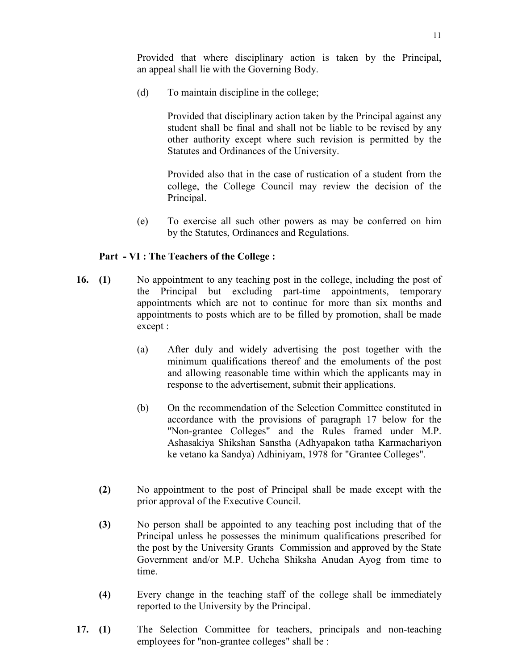Provided that where disciplinary action is taken by the Principal, an appeal shall lie with the Governing Body.

(d) To maintain discipline in the college;

Provided that disciplinary action taken by the Principal against any student shall be final and shall not be liable to be revised by any other authority except where such revision is permitted by the Statutes and Ordinances of the University.

Provided also that in the case of rustication of a student from the college, the College Council may review the decision of the Principal.

 (e) To exercise all such other powers as may be conferred on him by the Statutes, Ordinances and Regulations.

#### Part - VI : The Teachers of the College :

- 16. (1) No appointment to any teaching post in the college, including the post of the Principal but excluding part-time appointments, temporary appointments which are not to continue for more than six months and appointments to posts which are to be filled by promotion, shall be made except :
	- (a) After duly and widely advertising the post together with the minimum qualifications thereof and the emoluments of the post and allowing reasonable time within which the applicants may in response to the advertisement, submit their applications.
	- (b) On the recommendation of the Selection Committee constituted in accordance with the provisions of paragraph 17 below for the "Non-grantee Colleges" and the Rules framed under M.P. Ashasakiya Shikshan Sanstha (Adhyapakon tatha Karmachariyon ke vetano ka Sandya) Adhiniyam, 1978 for "Grantee Colleges".
	- (2) No appointment to the post of Principal shall be made except with the prior approval of the Executive Council.
	- (3) No person shall be appointed to any teaching post including that of the Principal unless he possesses the minimum qualifications prescribed for the post by the University Grants Commission and approved by the State Government and/or M.P. Uchcha Shiksha Anudan Ayog from time to time.
	- (4) Every change in the teaching staff of the college shall be immediately reported to the University by the Principal.
- 17. (1) The Selection Committee for teachers, principals and non-teaching employees for "non-grantee colleges" shall be :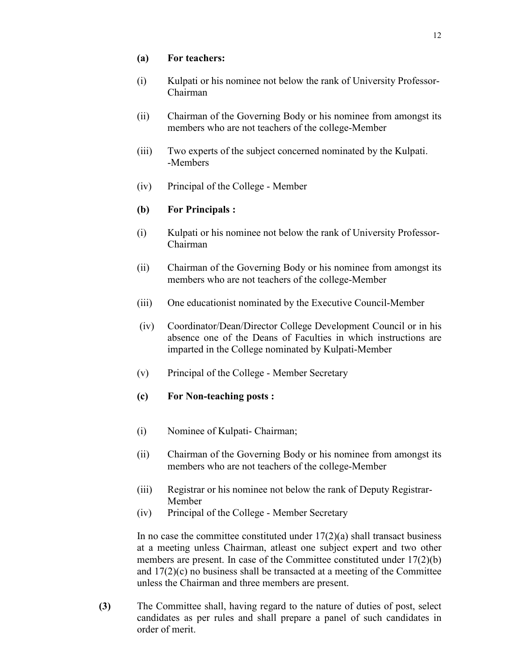#### (a) For teachers:

- (i) Kulpati or his nominee not below the rank of University Professor- Chairman
- (ii) Chairman of the Governing Body or his nominee from amongst its members who are not teachers of the college-Member
- (iii) Two experts of the subject concerned nominated by the Kulpati. -Members
- (iv) Principal of the College Member

# (b) For Principals :

- (i) Kulpati or his nominee not below the rank of University Professor- Chairman
- (ii) Chairman of the Governing Body or his nominee from amongst its members who are not teachers of the college-Member
- (iii) One educationist nominated by the Executive Council-Member
- (iv) Coordinator/Dean/Director College Development Council or in his absence one of the Deans of Faculties in which instructions are imparted in the College nominated by Kulpati-Member
- (v) Principal of the College Member Secretary
- (c) For Non-teaching posts :
- (i) Nominee of Kulpati- Chairman;
- (ii) Chairman of the Governing Body or his nominee from amongst its members who are not teachers of the college-Member
- (iii) Registrar or his nominee not below the rank of Deputy Registrar- Member
- (iv) Principal of the College Member Secretary

In no case the committee constituted under  $17(2)(a)$  shall transact business at a meeting unless Chairman, atleast one subject expert and two other members are present. In case of the Committee constituted under 17(2)(b) and  $17(2)(c)$  no business shall be transacted at a meeting of the Committee unless the Chairman and three members are present.

 (3) The Committee shall, having regard to the nature of duties of post, select candidates as per rules and shall prepare a panel of such candidates in order of merit.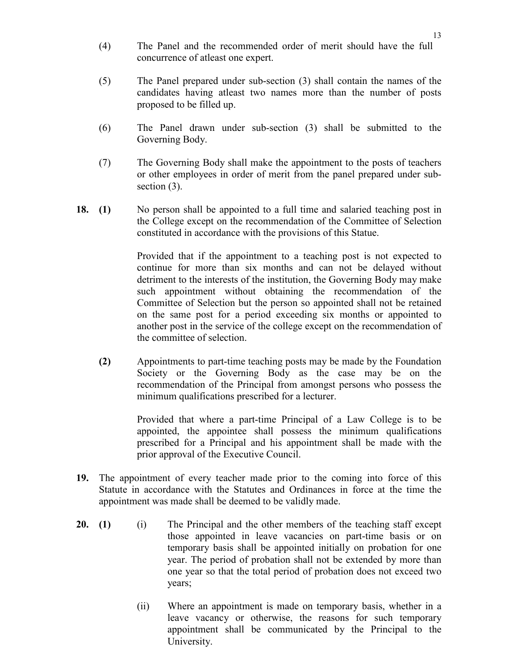- (4) The Panel and the recommended order of merit should have the full concurrence of atleast one expert.
- (5) The Panel prepared under sub-section (3) shall contain the names of the candidates having atleast two names more than the number of posts proposed to be filled up.
- (6) The Panel drawn under sub-section (3) shall be submitted to the Governing Body.
- (7) The Governing Body shall make the appointment to the posts of teachers or other employees in order of merit from the panel prepared under subsection  $(3)$ .
- 18. (1) No person shall be appointed to a full time and salaried teaching post in the College except on the recommendation of the Committee of Selection constituted in accordance with the provisions of this Statue.

Provided that if the appointment to a teaching post is not expected to continue for more than six months and can not be delayed without detriment to the interests of the institution, the Governing Body may make such appointment without obtaining the recommendation of the Committee of Selection but the person so appointed shall not be retained on the same post for a period exceeding six months or appointed to another post in the service of the college except on the recommendation of the committee of selection.

(2) Appointments to part-time teaching posts may be made by the Foundation Society or the Governing Body as the case may be on the recommendation of the Principal from amongst persons who possess the minimum qualifications prescribed for a lecturer.

> Provided that where a part-time Principal of a Law College is to be appointed, the appointee shall possess the minimum qualifications prescribed for a Principal and his appointment shall be made with the prior approval of the Executive Council.

- 19. The appointment of every teacher made prior to the coming into force of this Statute in accordance with the Statutes and Ordinances in force at the time the appointment was made shall be deemed to be validly made.
- 20. (1) (i) The Principal and the other members of the teaching staff except those appointed in leave vacancies on part-time basis or on temporary basis shall be appointed initially on probation for one year. The period of probation shall not be extended by more than one year so that the total period of probation does not exceed two years;
	- (ii) Where an appointment is made on temporary basis, whether in a leave vacancy or otherwise, the reasons for such temporary appointment shall be communicated by the Principal to the University.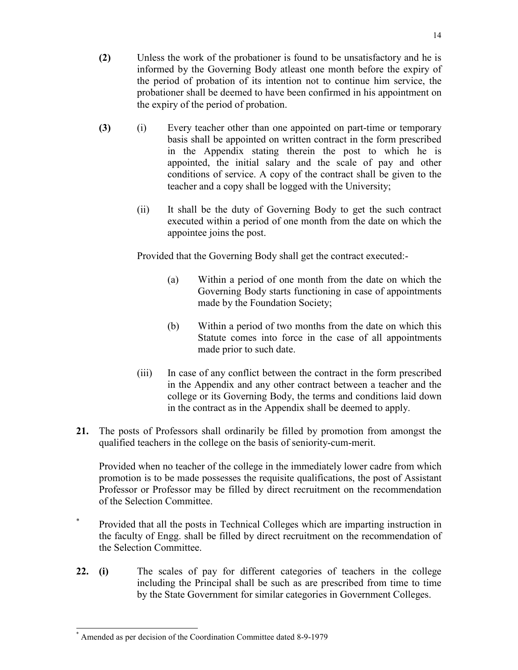- (2) Unless the work of the probationer is found to be unsatisfactory and he is informed by the Governing Body atleast one month before the expiry of the period of probation of its intention not to continue him service, the probationer shall be deemed to have been confirmed in his appointment on the expiry of the period of probation.
- (3) (i) Every teacher other than one appointed on part-time or temporary basis shall be appointed on written contract in the form prescribed in the Appendix stating therein the post to which he is appointed, the initial salary and the scale of pay and other conditions of service. A copy of the contract shall be given to the teacher and a copy shall be logged with the University;
	- (ii) It shall be the duty of Governing Body to get the such contract executed within a period of one month from the date on which the appointee joins the post.

Provided that the Governing Body shall get the contract executed:-

- (a) Within a period of one month from the date on which the Governing Body starts functioning in case of appointments made by the Foundation Society;
- (b) Within a period of two months from the date on which this Statute comes into force in the case of all appointments made prior to such date.
- (iii) In case of any conflict between the contract in the form prescribed in the Appendix and any other contract between a teacher and the college or its Governing Body, the terms and conditions laid down in the contract as in the Appendix shall be deemed to apply.
- 21. The posts of Professors shall ordinarily be filled by promotion from amongst the qualified teachers in the college on the basis of seniority-cum-merit.

 Provided when no teacher of the college in the immediately lower cadre from which promotion is to be made possesses the requisite qualifications, the post of Assistant Professor or Professor may be filled by direct recruitment on the recommendation of the Selection Committee.

- \* Provided that all the posts in Technical Colleges which are imparting instruction in the faculty of Engg. shall be filled by direct recruitment on the recommendation of the Selection Committee.
- 22. (i) The scales of pay for different categories of teachers in the college including the Principal shall be such as are prescribed from time to time by the State Government for similar categories in Government Colleges.

 $\overline{a}$ \* Amended as per decision of the Coordination Committee dated 8-9-1979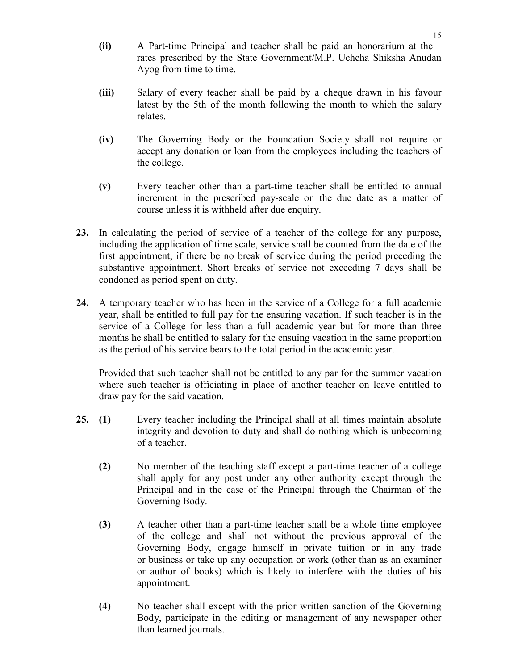- (ii) A Part-time Principal and teacher shall be paid an honorarium at the rates prescribed by the State Government/M.P. Uchcha Shiksha Anudan Ayog from time to time.
- (iii) Salary of every teacher shall be paid by a cheque drawn in his favour latest by the 5th of the month following the month to which the salary relates.
- (iv) The Governing Body or the Foundation Society shall not require or accept any donation or loan from the employees including the teachers of the college.
- (v) Every teacher other than a part-time teacher shall be entitled to annual increment in the prescribed pay-scale on the due date as a matter of course unless it is withheld after due enquiry.
- 23. In calculating the period of service of a teacher of the college for any purpose, including the application of time scale, service shall be counted from the date of the first appointment, if there be no break of service during the period preceding the substantive appointment. Short breaks of service not exceeding 7 days shall be condoned as period spent on duty.
- 24. A temporary teacher who has been in the service of a College for a full academic year, shall be entitled to full pay for the ensuring vacation. If such teacher is in the service of a College for less than a full academic year but for more than three months he shall be entitled to salary for the ensuing vacation in the same proportion as the period of his service bears to the total period in the academic year.

Provided that such teacher shall not be entitled to any par for the summer vacation where such teacher is officiating in place of another teacher on leave entitled to draw pay for the said vacation.

- 25. (1) Every teacher including the Principal shall at all times maintain absolute integrity and devotion to duty and shall do nothing which is unbecoming of a teacher.
	- (2) No member of the teaching staff except a part-time teacher of a college shall apply for any post under any other authority except through the Principal and in the case of the Principal through the Chairman of the Governing Body.
	- (3) A teacher other than a part-time teacher shall be a whole time employee of the college and shall not without the previous approval of the Governing Body, engage himself in private tuition or in any trade or business or take up any occupation or work (other than as an examiner or author of books) which is likely to interfere with the duties of his appointment.
	- (4) No teacher shall except with the prior written sanction of the Governing Body, participate in the editing or management of any newspaper other than learned journals.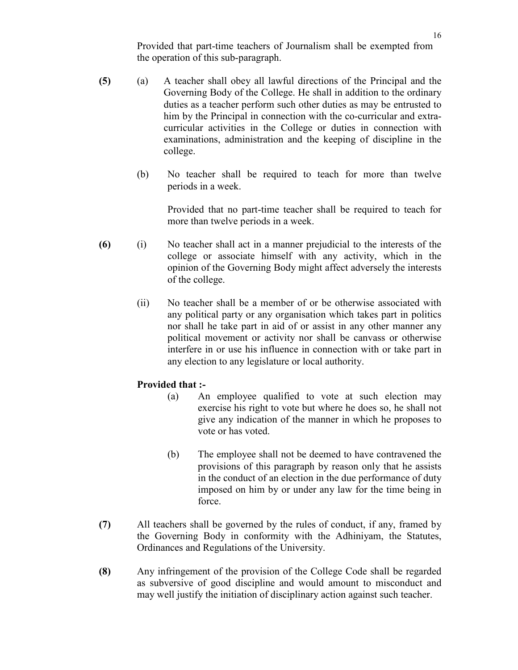Provided that part-time teachers of Journalism shall be exempted from the operation of this sub-paragraph.

- (5) (a) A teacher shall obey all lawful directions of the Principal and the Governing Body of the College. He shall in addition to the ordinary duties as a teacher perform such other duties as may be entrusted to him by the Principal in connection with the co-curricular and extracurricular activities in the College or duties in connection with examinations, administration and the keeping of discipline in the college.
	- (b) No teacher shall be required to teach for more than twelve periods in a week.

 Provided that no part-time teacher shall be required to teach for more than twelve periods in a week.

- (6) (i) No teacher shall act in a manner prejudicial to the interests of the college or associate himself with any activity, which in the opinion of the Governing Body might affect adversely the interests of the college.
	- (ii) No teacher shall be a member of or be otherwise associated with any political party or any organisation which takes part in politics nor shall he take part in aid of or assist in any other manner any political movement or activity nor shall be canvass or otherwise interfere in or use his influence in connection with or take part in any election to any legislature or local authority.

### Provided that :-

- (a) An employee qualified to vote at such election may exercise his right to vote but where he does so, he shall not give any indication of the manner in which he proposes to vote or has voted.
- (b) The employee shall not be deemed to have contravened the provisions of this paragraph by reason only that he assists in the conduct of an election in the due performance of duty imposed on him by or under any law for the time being in force.
- (7) All teachers shall be governed by the rules of conduct, if any, framed by the Governing Body in conformity with the Adhiniyam, the Statutes, Ordinances and Regulations of the University.
- (8) Any infringement of the provision of the College Code shall be regarded as subversive of good discipline and would amount to misconduct and may well justify the initiation of disciplinary action against such teacher.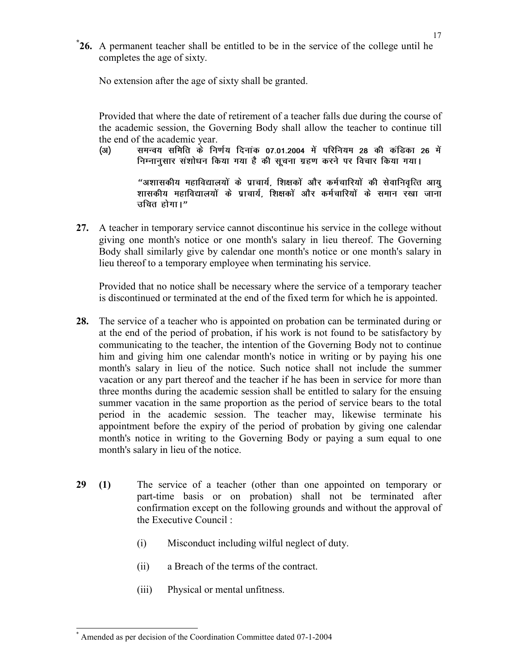\* 26. A permanent teacher shall be entitled to be in the service of the college until he completes the age of sixty.

No extension after the age of sixty shall be granted.

Provided that where the date of retirement of a teacher falls due during the course of the academic session, the Governing Body shall allow the teacher to continue till the end of the academic year.

(अ) समन्वय समिति के निर्णय दिनाक 07.01.2004 में परिनियम 28 की कंडिका 26 में निम्नानुसार संशोधन किया गया है की सूचना ग्रहण करने पर विचार किया गया।

> "अशासकीय महाविद्यालयों के प्राचार्य, शिक्षकों और कर्मचारियों की सेवानिवृत्ति आयु शासकीय महाविद्यालयों के प्राचार्य. शिक्षकों और कर्मचारियों के समान रखा जाना उचित होगा।"

27. A teacher in temporary service cannot discontinue his service in the college without giving one month's notice or one month's salary in lieu thereof. The Governing Body shall similarly give by calendar one month's notice or one month's salary in lieu thereof to a temporary employee when terminating his service.

Provided that no notice shall be necessary where the service of a temporary teacher is discontinued or terminated at the end of the fixed term for which he is appointed.

- 28. The service of a teacher who is appointed on probation can be terminated during or at the end of the period of probation, if his work is not found to be satisfactory by communicating to the teacher, the intention of the Governing Body not to continue him and giving him one calendar month's notice in writing or by paying his one month's salary in lieu of the notice. Such notice shall not include the summer vacation or any part thereof and the teacher if he has been in service for more than three months during the academic session shall be entitled to salary for the ensuing summer vacation in the same proportion as the period of service bears to the total period in the academic session. The teacher may, likewise terminate his appointment before the expiry of the period of probation by giving one calendar month's notice in writing to the Governing Body or paying a sum equal to one month's salary in lieu of the notice.
- 29 (1) The service of a teacher (other than one appointed on temporary or part-time basis or on probation) shall not be terminated after confirmation except on the following grounds and without the approval of the Executive Council :
	- (i) Misconduct including wilful neglect of duty.
	- (ii) a Breach of the terms of the contract.
	- (iii) Physical or mental unfitness.

 $\overline{a}$ \* Amended as per decision of the Coordination Committee dated 07-1-2004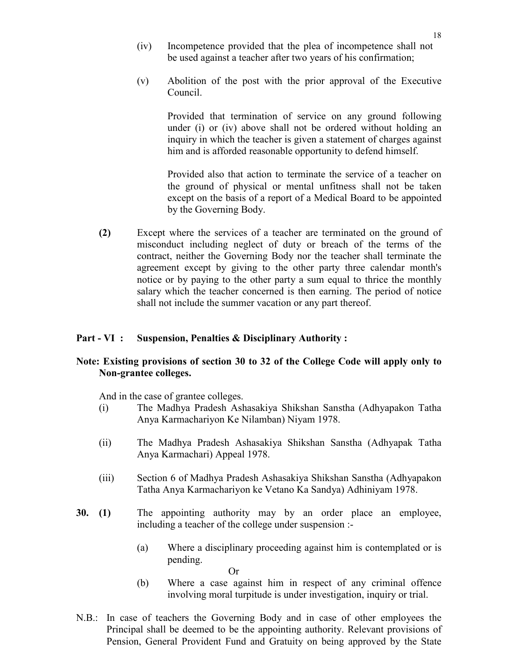- (iv) Incompetence provided that the plea of incompetence shall not be used against a teacher after two years of his confirmation;
- (v) Abolition of the post with the prior approval of the Executive Council.

Provided that termination of service on any ground following under (i) or (iv) above shall not be ordered without holding an inquiry in which the teacher is given a statement of charges against him and is afforded reasonable opportunity to defend himself.

Provided also that action to terminate the service of a teacher on the ground of physical or mental unfitness shall not be taken except on the basis of a report of a Medical Board to be appointed by the Governing Body.

 (2) Except where the services of a teacher are terminated on the ground of misconduct including neglect of duty or breach of the terms of the contract, neither the Governing Body nor the teacher shall terminate the agreement except by giving to the other party three calendar month's notice or by paying to the other party a sum equal to thrice the monthly salary which the teacher concerned is then earning. The period of notice shall not include the summer vacation or any part thereof.

### Part - VI : Suspension, Penalties & Disciplinary Authority :

#### Note: Existing provisions of section 30 to 32 of the College Code will apply only to Non-grantee colleges.

And in the case of grantee colleges.

- (i) The Madhya Pradesh Ashasakiya Shikshan Sanstha (Adhyapakon Tatha Anya Karmachariyon Ke Nilamban) Niyam 1978.
- (ii) The Madhya Pradesh Ashasakiya Shikshan Sanstha (Adhyapak Tatha Anya Karmachari) Appeal 1978.
- (iii) Section 6 of Madhya Pradesh Ashasakiya Shikshan Sanstha (Adhyapakon Tatha Anya Karmachariyon ke Vetano Ka Sandya) Adhiniyam 1978.
- 30. (1) The appointing authority may by an order place an employee, including a teacher of the college under suspension :-
	- (a) Where a disciplinary proceeding against him is contemplated or is pending.
- Or (b) Where a case against him in respect of any criminal offence involving moral turpitude is under investigation, inquiry or trial.
- N.B.: In case of teachers the Governing Body and in case of other employees the Principal shall be deemed to be the appointing authority. Relevant provisions of Pension, General Provident Fund and Gratuity on being approved by the State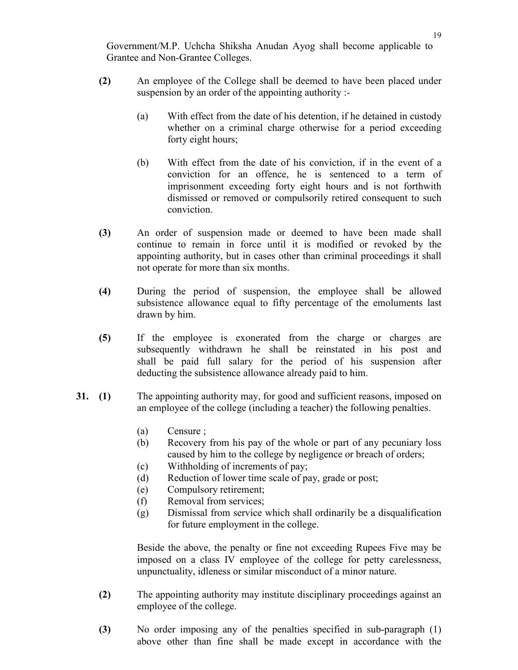Government/M.P. Uchcha Shiksha Anudan Ayog shall become applicable to Grantee and Non-Grantee Colleges.

- (2) An employee of the College shall be deemed to have been placed under suspension by an order of the appointing authority :-
	- (a) With effect from the date of his detention, if he detained in custody whether on a criminal charge otherwise for a period exceeding forty eight hours;
	- (b) With effect from the date of his conviction, if in the event of a conviction for an offence, he is sentenced to a term of imprisonment exceeding forty eight hours and is not forthwith dismissed or removed or compulsorily retired consequent to such conviction.
- (3) An order of suspension made or deemed to have been made shall continue to remain in force until it is modified or revoked by the appointing authority, but in cases other than criminal proceedings it shall not operate for more than six months.
- (4) During the period of suspension, the employee shall be allowed subsistence allowance equal to fifty percentage of the emoluments last drawn by him.
- (5) If the employee is exonerated from the charge or charges are subsequently withdrawn he shall be reinstated in his post and shall be paid full salary for the period of his suspension after deducting the subsistence allowance already paid to him.
- 31. (1) The appointing authority may, for good and sufficient reasons, imposed on an employee of the college (including a teacher) the following penalties.
	- (a) Censure ;
	- (b) Recovery from his pay of the whole or part of any pecuniary loss caused by him to the college by negligence or breach of orders;
	- (c) Withholding of increments of pay;
	- (d) Reduction of lower time scale of pay, grade or post;
	- (e) Compulsory retirement;
	- (f) Removal from services;
	- (g) Dismissal from service which shall ordinarily be a disqualification for future employment in the college.

 Beside the above, the penalty or fine not exceeding Rupees Five may be imposed on a class IV employee of the college for petty carelessness, unpunctuality, idleness or similar misconduct of a minor nature.

- (2) The appointing authority may institute disciplinary proceedings against an employee of the college.
- (3) No order imposing any of the penalties specified in sub-paragraph (1) above other than fine shall be made except in accordance with the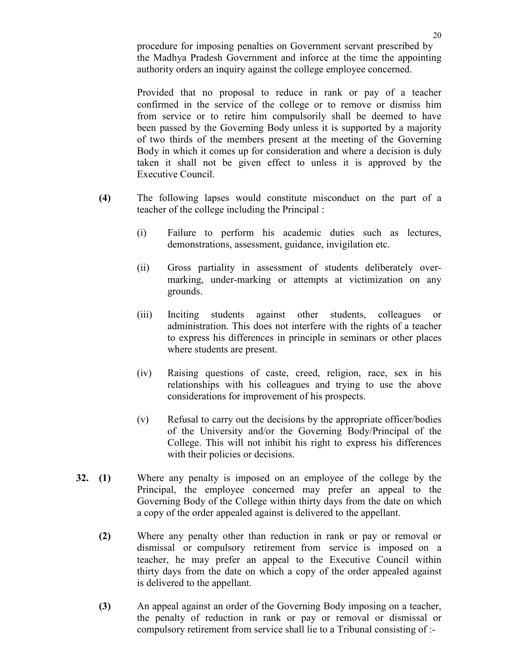procedure for imposing penalties on Government servant prescribed by the Madhya Pradesh Government and inforce at the time the appointing authority orders an inquiry against the college employee concerned.

 Provided that no proposal to reduce in rank or pay of a teacher confirmed in the service of the college or to remove or dismiss him from service or to retire him compulsorily shall be deemed to have been passed by the Governing Body unless it is supported by a majority of two thirds of the members present at the meeting of the Governing Body in which it comes up for consideration and where a decision is duly taken it shall not be given effect to unless it is approved by the Executive Council.

- (4) The following lapses would constitute misconduct on the part of a teacher of the college including the Principal :
	- (i) Failure to perform his academic duties such as lectures, demonstrations, assessment, guidance, invigilation etc.
	- (ii) Gross partiality in assessment of students deliberately overmarking, under-marking or attempts at victimization on any grounds.
	- (iii) Inciting students against other students, colleagues or administration. This does not interfere with the rights of a teacher to express his differences in principle in seminars or other places where students are present.
	- (iv) Raising questions of caste, creed, religion, race, sex in his relationships with his colleagues and trying to use the above considerations for improvement of his prospects.
	- (v) Refusal to carry out the decisions by the appropriate officer/bodies of the University and/or the Governing Body/Principal of the College. This will not inhibit his right to express his differences with their policies or decisions.
- 32. (1) Where any penalty is imposed on an employee of the college by the Principal, the employee concerned may prefer an appeal to the Governing Body of the College within thirty days from the date on which a copy of the order appealed against is delivered to the appellant.
	- (2) Where any penalty other than reduction in rank or pay or removal or dismissal or compulsory retirement from service is imposed on a teacher, he may prefer an appeal to the Executive Council within thirty days from the date on which a copy of the order appealed against is delivered to the appellant.
	- (3) An appeal against an order of the Governing Body imposing on a teacher, the penalty of reduction in rank or pay or removal or dismissal or compulsory retirement from service shall lie to a Tribunal consisting of :-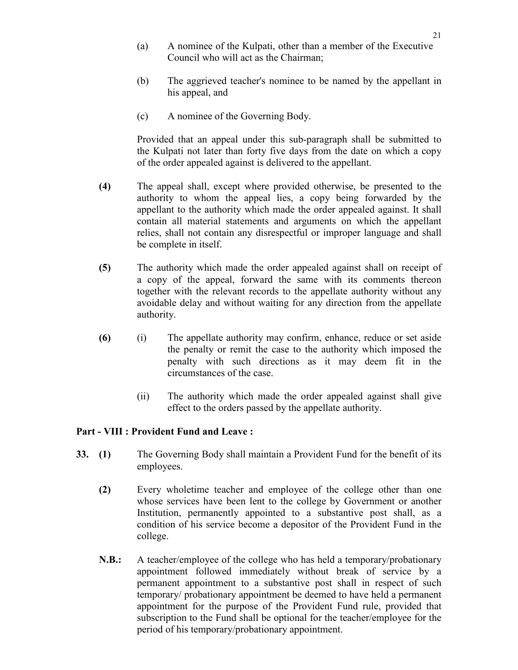- (a) A nominee of the Kulpati, other than a member of the Executive Council who will act as the Chairman;
- (b) The aggrieved teacher's nominee to be named by the appellant in his appeal, and
- (c) A nominee of the Governing Body.

 Provided that an appeal under this sub-paragraph shall be submitted to the Kulpati not later than forty five days from the date on which a copy of the order appealed against is delivered to the appellant.

- (4) The appeal shall, except where provided otherwise, be presented to the authority to whom the appeal lies, a copy being forwarded by the appellant to the authority which made the order appealed against. It shall contain all material statements and arguments on which the appellant relies, shall not contain any disrespectful or improper language and shall be complete in itself.
- (5) The authority which made the order appealed against shall on receipt of a copy of the appeal, forward the same with its comments thereon together with the relevant records to the appellate authority without any avoidable delay and without waiting for any direction from the appellate authority.
- (6) (i) The appellate authority may confirm, enhance, reduce or set aside the penalty or remit the case to the authority which imposed the penalty with such directions as it may deem fit in the circumstances of the case.
	- (ii) The authority which made the order appealed against shall give effect to the orders passed by the appellate authority.

### Part - VIII : Provident Fund and Leave :

- 33. (1) The Governing Body shall maintain a Provident Fund for the benefit of its employees.
	- (2) Every wholetime teacher and employee of the college other than one whose services have been lent to the college by Government or another Institution, permanently appointed to a substantive post shall, as a condition of his service become a depositor of the Provident Fund in the college.
	- N.B.: A teacher/employee of the college who has held a temporary/probationary appointment followed immediately without break of service by a permanent appointment to a substantive post shall in respect of such temporary/ probationary appointment be deemed to have held a permanent appointment for the purpose of the Provident Fund rule, provided that subscription to the Fund shall be optional for the teacher/employee for the period of his temporary/probationary appointment.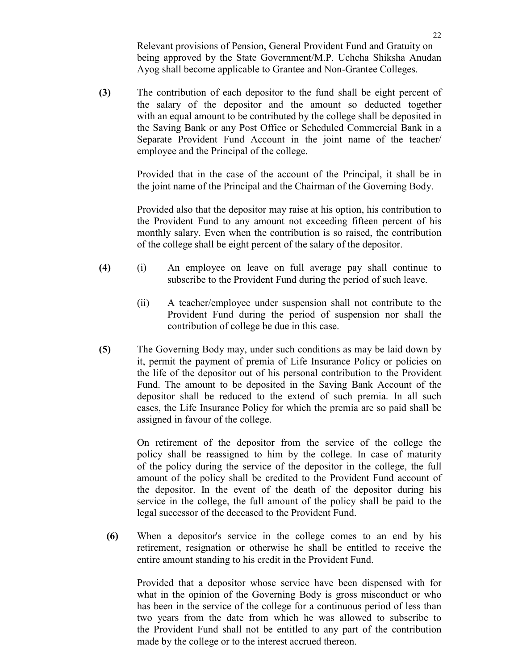Relevant provisions of Pension, General Provident Fund and Gratuity on being approved by the State Government/M.P. Uchcha Shiksha Anudan Ayog shall become applicable to Grantee and Non-Grantee Colleges.

(3) The contribution of each depositor to the fund shall be eight percent of the salary of the depositor and the amount so deducted together with an equal amount to be contributed by the college shall be deposited in the Saving Bank or any Post Office or Scheduled Commercial Bank in a Separate Provident Fund Account in the joint name of the teacher/ employee and the Principal of the college.

> Provided that in the case of the account of the Principal, it shall be in the joint name of the Principal and the Chairman of the Governing Body.

> Provided also that the depositor may raise at his option, his contribution to the Provident Fund to any amount not exceeding fifteen percent of his monthly salary. Even when the contribution is so raised, the contribution of the college shall be eight percent of the salary of the depositor.

- (4) (i) An employee on leave on full average pay shall continue to subscribe to the Provident Fund during the period of such leave.
	- (ii) A teacher/employee under suspension shall not contribute to the Provident Fund during the period of suspension nor shall the contribution of college be due in this case.
- (5) The Governing Body may, under such conditions as may be laid down by it, permit the payment of premia of Life Insurance Policy or policies on the life of the depositor out of his personal contribution to the Provident Fund. The amount to be deposited in the Saving Bank Account of the depositor shall be reduced to the extend of such premia. In all such cases, the Life Insurance Policy for which the premia are so paid shall be assigned in favour of the college.

 On retirement of the depositor from the service of the college the policy shall be reassigned to him by the college. In case of maturity of the policy during the service of the depositor in the college, the full amount of the policy shall be credited to the Provident Fund account of the depositor. In the event of the death of the depositor during his service in the college, the full amount of the policy shall be paid to the legal successor of the deceased to the Provident Fund.

 (6) When a depositor's service in the college comes to an end by his retirement, resignation or otherwise he shall be entitled to receive the entire amount standing to his credit in the Provident Fund.

 Provided that a depositor whose service have been dispensed with for what in the opinion of the Governing Body is gross misconduct or who has been in the service of the college for a continuous period of less than two years from the date from which he was allowed to subscribe to the Provident Fund shall not be entitled to any part of the contribution made by the college or to the interest accrued thereon.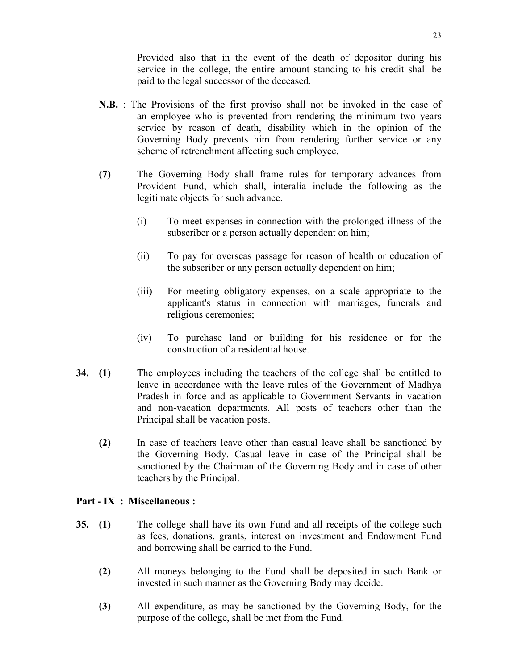Provided also that in the event of the death of depositor during his service in the college, the entire amount standing to his credit shall be paid to the legal successor of the deceased.

- N.B. : The Provisions of the first proviso shall not be invoked in the case of an employee who is prevented from rendering the minimum two years service by reason of death, disability which in the opinion of the Governing Body prevents him from rendering further service or any scheme of retrenchment affecting such employee.
- (7) The Governing Body shall frame rules for temporary advances from Provident Fund, which shall, interalia include the following as the legitimate objects for such advance.
	- (i) To meet expenses in connection with the prolonged illness of the subscriber or a person actually dependent on him;
	- (ii) To pay for overseas passage for reason of health or education of the subscriber or any person actually dependent on him;
	- (iii) For meeting obligatory expenses, on a scale appropriate to the applicant's status in connection with marriages, funerals and religious ceremonies;
	- (iv) To purchase land or building for his residence or for the construction of a residential house.
- 34. (1) The employees including the teachers of the college shall be entitled to leave in accordance with the leave rules of the Government of Madhya Pradesh in force and as applicable to Government Servants in vacation and non-vacation departments. All posts of teachers other than the Principal shall be vacation posts.
	- (2) In case of teachers leave other than casual leave shall be sanctioned by the Governing Body. Casual leave in case of the Principal shall be sanctioned by the Chairman of the Governing Body and in case of other teachers by the Principal.

### Part - IX : Miscellaneous :

- 35. (1) The college shall have its own Fund and all receipts of the college such as fees, donations, grants, interest on investment and Endowment Fund and borrowing shall be carried to the Fund.
	- (2) All moneys belonging to the Fund shall be deposited in such Bank or invested in such manner as the Governing Body may decide.
	- (3) All expenditure, as may be sanctioned by the Governing Body, for the purpose of the college, shall be met from the Fund.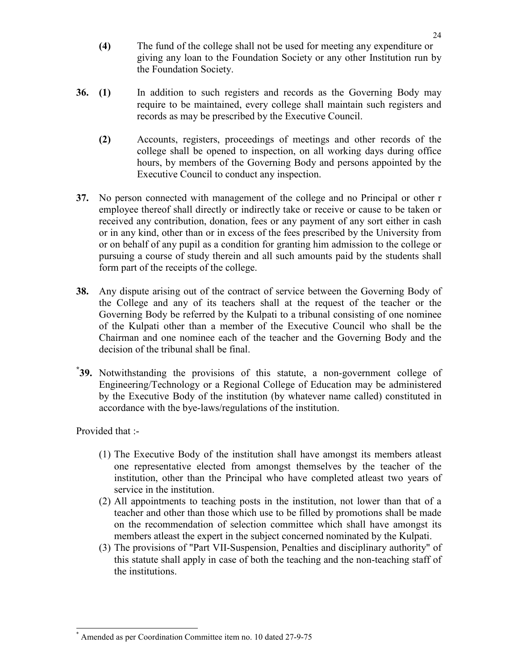- (4) The fund of the college shall not be used for meeting any expenditure or giving any loan to the Foundation Society or any other Institution run by the Foundation Society.
- 36. (1) In addition to such registers and records as the Governing Body may require to be maintained, every college shall maintain such registers and records as may be prescribed by the Executive Council.
	- (2) Accounts, registers, proceedings of meetings and other records of the college shall be opened to inspection, on all working days during office hours, by members of the Governing Body and persons appointed by the Executive Council to conduct any inspection.
- 37. No person connected with management of the college and no Principal or other r employee thereof shall directly or indirectly take or receive or cause to be taken or received any contribution, donation, fees or any payment of any sort either in cash or in any kind, other than or in excess of the fees prescribed by the University from or on behalf of any pupil as a condition for granting him admission to the college or pursuing a course of study therein and all such amounts paid by the students shall form part of the receipts of the college.
- 38. Any dispute arising out of the contract of service between the Governing Body of the College and any of its teachers shall at the request of the teacher or the Governing Body be referred by the Kulpati to a tribunal consisting of one nominee of the Kulpati other than a member of the Executive Council who shall be the Chairman and one nominee each of the teacher and the Governing Body and the decision of the tribunal shall be final.
- \* 39. Notwithstanding the provisions of this statute, a non-government college of Engineering/Technology or a Regional College of Education may be administered by the Executive Body of the institution (by whatever name called) constituted in accordance with the bye-laws/regulations of the institution.

Provided that :-

- (1) The Executive Body of the institution shall have amongst its members atleast one representative elected from amongst themselves by the teacher of the institution, other than the Principal who have completed atleast two years of service in the institution.
- (2) All appointments to teaching posts in the institution, not lower than that of a teacher and other than those which use to be filled by promotions shall be made on the recommendation of selection committee which shall have amongst its members atleast the expert in the subject concerned nominated by the Kulpati.
- (3) The provisions of "Part VII-Suspension, Penalties and disciplinary authority" of this statute shall apply in case of both the teaching and the non-teaching staff of the institutions.

 $\overline{a}$ \* Amended as per Coordination Committee item no. 10 dated 27-9-75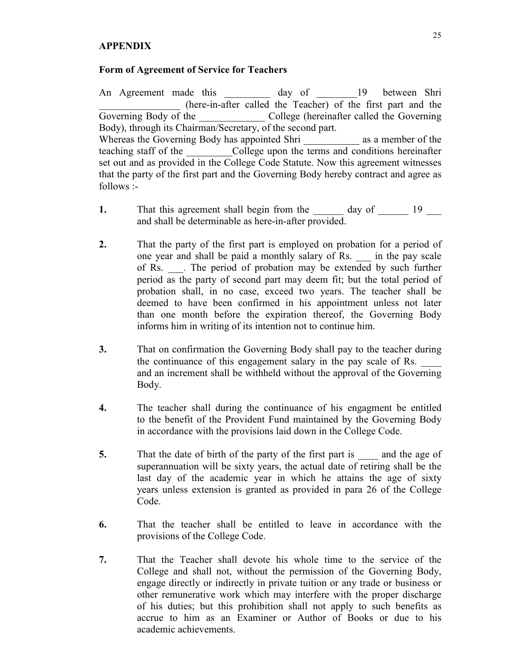## **APPENDIX**

#### Form of Agreement of Service for Teachers

An Agreement made this \_\_\_\_\_\_\_\_\_ day of \_\_\_\_\_\_\_19 between Shri \_\_\_\_\_\_\_\_\_\_\_\_\_\_\_\_ (here-in-after called the Teacher) of the first part and the Governing Body of the College (hereinafter called the Governing Body), through its Chairman/Secretary, of the second part. Whereas the Governing Body has appointed Shri \_\_\_\_\_\_\_\_\_\_\_\_ as a member of the teaching staff of the College upon the terms and conditions hereinafter set out and as provided in the College Code Statute. Now this agreement witnesses that the party of the first part and the Governing Body hereby contract and agree as follows :-

- 1. That this agreement shall begin from the day of 19 and shall be determinable as here-in-after provided.
- 2. That the party of the first part is employed on probation for a period of one year and shall be paid a monthly salary of Rs. \_\_\_ in the pay scale of Rs. \_\_\_. The period of probation may be extended by such further period as the party of second part may deem fit; but the total period of probation shall, in no case, exceed two years. The teacher shall be deemed to have been confirmed in his appointment unless not later than one month before the expiration thereof, the Governing Body informs him in writing of its intention not to continue him.
- 3. That on confirmation the Governing Body shall pay to the teacher during the continuance of this engagement salary in the pay scale of Rs. and an increment shall be withheld without the approval of the Governing Body.
- 4. The teacher shall during the continuance of his engagment be entitled to the benefit of the Provident Fund maintained by the Governing Body in accordance with the provisions laid down in the College Code.
- 5. That the date of birth of the party of the first part is and the age of superannuation will be sixty years, the actual date of retiring shall be the last day of the academic year in which he attains the age of sixty years unless extension is granted as provided in para 26 of the College Code.
- 6. That the teacher shall be entitled to leave in accordance with the provisions of the College Code.
- 7. That the Teacher shall devote his whole time to the service of the College and shall not, without the permission of the Governing Body, engage directly or indirectly in private tuition or any trade or business or other remunerative work which may interfere with the proper discharge of his duties; but this prohibition shall not apply to such benefits as accrue to him as an Examiner or Author of Books or due to his academic achievements.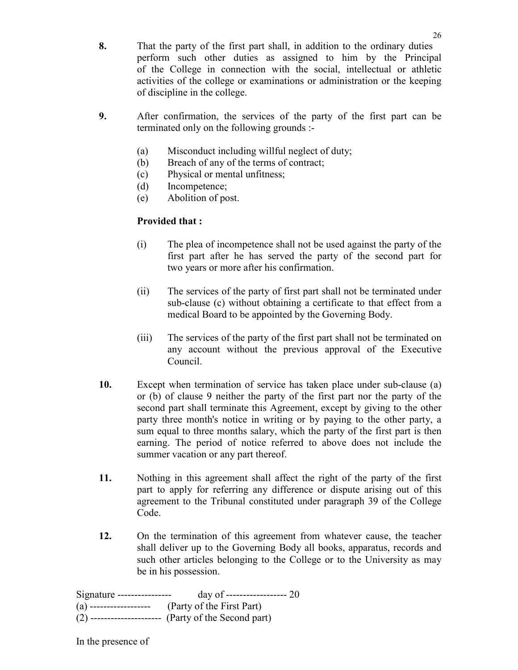- 8. That the party of the first part shall, in addition to the ordinary duties perform such other duties as assigned to him by the Principal of the College in connection with the social, intellectual or athletic activities of the college or examinations or administration or the keeping of discipline in the college.
- 9. After confirmation, the services of the party of the first part can be terminated only on the following grounds :-
	- (a) Misconduct including willful neglect of duty;
	- (b) Breach of any of the terms of contract;
	- (c) Physical or mental unfitness;
	- (d) Incompetence;
	- (e) Abolition of post.

# Provided that :

- (i) The plea of incompetence shall not be used against the party of the first part after he has served the party of the second part for two years or more after his confirmation.
- (ii) The services of the party of first part shall not be terminated under sub-clause (c) without obtaining a certificate to that effect from a medical Board to be appointed by the Governing Body.
- (iii) The services of the party of the first part shall not be terminated on any account without the previous approval of the Executive Council.
- 10. Except when termination of service has taken place under sub-clause (a) or (b) of clause 9 neither the party of the first part nor the party of the second part shall terminate this Agreement, except by giving to the other party three month's notice in writing or by paying to the other party, a sum equal to three months salary, which the party of the first part is then earning. The period of notice referred to above does not include the summer vacation or any part thereof.
- 11. Nothing in this agreement shall affect the right of the party of the first part to apply for referring any difference or dispute arising out of this agreement to the Tribunal constituted under paragraph 39 of the College Code.
- 12. On the termination of this agreement from whatever cause, the teacher shall deliver up to the Governing Body all books, apparatus, records and such other articles belonging to the College or to the University as may be in his possession.

| Signature ---------------- | day of -------------------- 20                         |
|----------------------------|--------------------------------------------------------|
|                            | (a) ------------------- (Party of the First Part)      |
|                            | $(2)$ --------------------- (Party of the Second part) |

In the presence of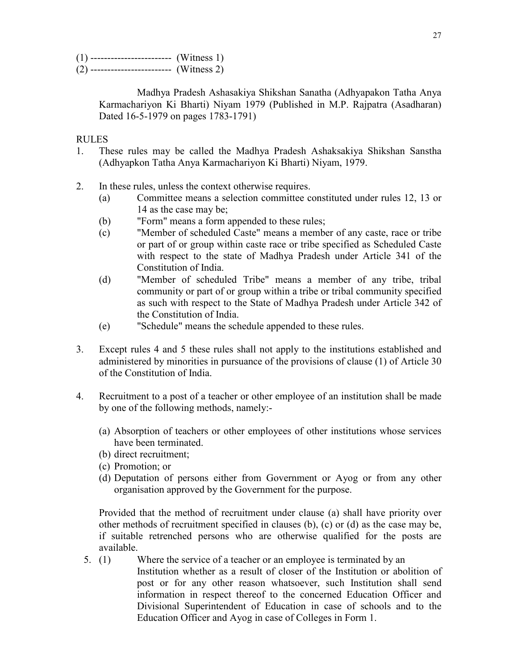$(1)$  -------------------------- (Witness 1)  $(2)$  ---------------------------- (Witness 2)

> Madhya Pradesh Ashasakiya Shikshan Sanatha (Adhyapakon Tatha Anya Karmachariyon Ki Bharti) Niyam 1979 (Published in M.P. Rajpatra (Asadharan) Dated 16-5-1979 on pages 1783-1791)

## RULES

- 1. These rules may be called the Madhya Pradesh Ashaksakiya Shikshan Sanstha (Adhyapkon Tatha Anya Karmachariyon Ki Bharti) Niyam, 1979.
- 2. In these rules, unless the context otherwise requires.
	- (a) Committee means a selection committee constituted under rules 12, 13 or 14 as the case may be;
	- (b) "Form" means a form appended to these rules;
	- (c) "Member of scheduled Caste" means a member of any caste, race or tribe or part of or group within caste race or tribe specified as Scheduled Caste with respect to the state of Madhya Pradesh under Article 341 of the Constitution of India.
	- (d) "Member of scheduled Tribe" means a member of any tribe, tribal community or part of or group within a tribe or tribal community specified as such with respect to the State of Madhya Pradesh under Article 342 of the Constitution of India.
	- (e) "Schedule" means the schedule appended to these rules.
- 3. Except rules 4 and 5 these rules shall not apply to the institutions established and administered by minorities in pursuance of the provisions of clause (1) of Article 30 of the Constitution of India.
- 4. Recruitment to a post of a teacher or other employee of an institution shall be made by one of the following methods, namely:-
	- (a) Absorption of teachers or other employees of other institutions whose services have been terminated.
	- (b) direct recruitment;
	- (c) Promotion; or
	- (d) Deputation of persons either from Government or Ayog or from any other organisation approved by the Government for the purpose.

Provided that the method of recruitment under clause (a) shall have priority over other methods of recruitment specified in clauses (b), (c) or (d) as the case may be, if suitable retrenched persons who are otherwise qualified for the posts are available.

5. (1) Where the service of a teacher or an employee is terminated by an Institution whether as a result of closer of the Institution or abolition of post or for any other reason whatsoever, such Institution shall send information in respect thereof to the concerned Education Officer and Divisional Superintendent of Education in case of schools and to the Education Officer and Ayog in case of Colleges in Form 1.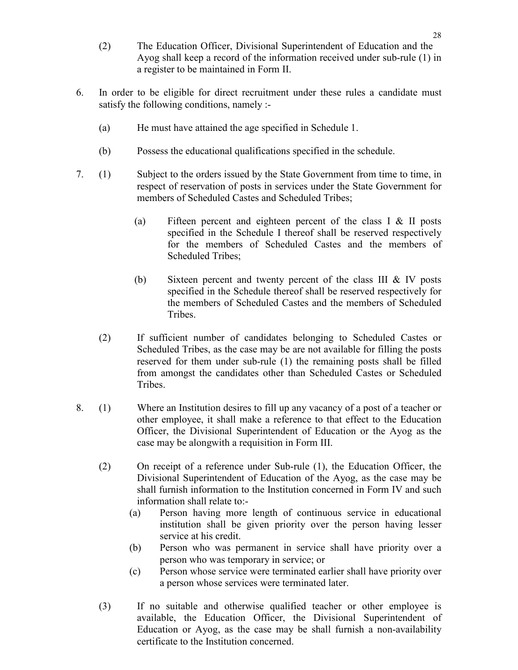- (2) The Education Officer, Divisional Superintendent of Education and the Ayog shall keep a record of the information received under sub-rule (1) in a register to be maintained in Form II.
- 6. In order to be eligible for direct recruitment under these rules a candidate must satisfy the following conditions, namely :-
	- (a) He must have attained the age specified in Schedule 1.
	- (b) Possess the educational qualifications specified in the schedule.
- 7. (1) Subject to the orders issued by the State Government from time to time, in respect of reservation of posts in services under the State Government for members of Scheduled Castes and Scheduled Tribes;
	- (a) Fifteen percent and eighteen percent of the class I & II posts specified in the Schedule I thereof shall be reserved respectively for the members of Scheduled Castes and the members of Scheduled Tribes;
	- (b) Sixteen percent and twenty percent of the class III & IV posts specified in the Schedule thereof shall be reserved respectively for the members of Scheduled Castes and the members of Scheduled **Tribes**
	- (2) If sufficient number of candidates belonging to Scheduled Castes or Scheduled Tribes, as the case may be are not available for filling the posts reserved for them under sub-rule (1) the remaining posts shall be filled from amongst the candidates other than Scheduled Castes or Scheduled Tribes.
- 8. (1) Where an Institution desires to fill up any vacancy of a post of a teacher or other employee, it shall make a reference to that effect to the Education Officer, the Divisional Superintendent of Education or the Ayog as the case may be alongwith a requisition in Form III.
	- (2) On receipt of a reference under Sub-rule (1), the Education Officer, the Divisional Superintendent of Education of the Ayog, as the case may be shall furnish information to the Institution concerned in Form IV and such information shall relate to:-
		- (a) Person having more length of continuous service in educational institution shall be given priority over the person having lesser service at his credit.
		- (b) Person who was permanent in service shall have priority over a person who was temporary in service; or
		- (c) Person whose service were terminated earlier shall have priority over a person whose services were terminated later.
	- (3) If no suitable and otherwise qualified teacher or other employee is available, the Education Officer, the Divisional Superintendent of Education or Ayog, as the case may be shall furnish a non-availability certificate to the Institution concerned.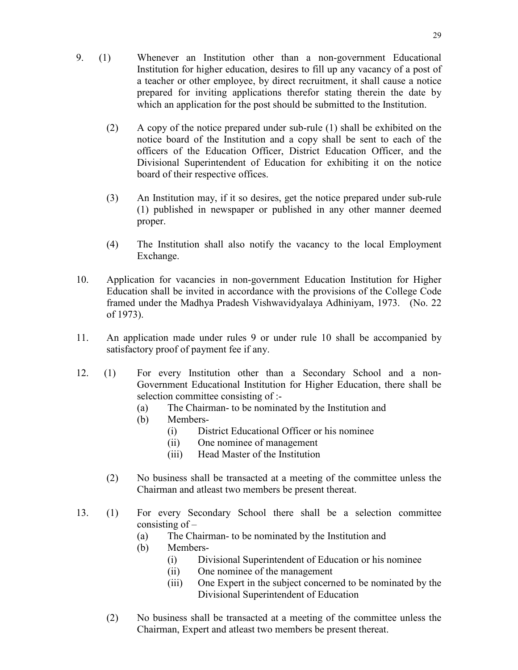- (2) A copy of the notice prepared under sub-rule (1) shall be exhibited on the notice board of the Institution and a copy shall be sent to each of the officers of the Education Officer, District Education Officer, and the Divisional Superintendent of Education for exhibiting it on the notice board of their respective offices.
- (3) An Institution may, if it so desires, get the notice prepared under sub-rule (1) published in newspaper or published in any other manner deemed proper.
- (4) The Institution shall also notify the vacancy to the local Employment Exchange.
- 10. Application for vacancies in non-government Education Institution for Higher Education shall be invited in accordance with the provisions of the College Code framed under the Madhya Pradesh Vishwavidyalaya Adhiniyam, 1973. (No. 22 of 1973).
- 11. An application made under rules 9 or under rule 10 shall be accompanied by satisfactory proof of payment fee if any.
- 12. (1) For every Institution other than a Secondary School and a non-Government Educational Institution for Higher Education, there shall be selection committee consisting of :-
	- (a) The Chairman- to be nominated by the Institution and
	- (b) Members-
		- (i) District Educational Officer or his nominee
		- (ii) One nominee of management
		- (iii) Head Master of the Institution
	- (2) No business shall be transacted at a meeting of the committee unless the Chairman and atleast two members be present thereat.
- 13. (1) For every Secondary School there shall be a selection committee consisting of –
	- (a) The Chairman- to be nominated by the Institution and
	- (b) Members-
		- (i) Divisional Superintendent of Education or his nominee
		- (ii) One nominee of the management
		- (iii) One Expert in the subject concerned to be nominated by the Divisional Superintendent of Education
	- (2) No business shall be transacted at a meeting of the committee unless the Chairman, Expert and atleast two members be present thereat.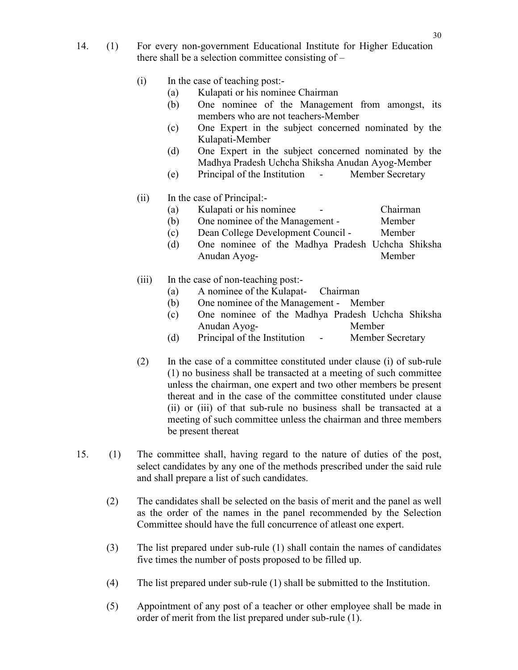- 14. (1) For every non-government Educational Institute for Higher Education there shall be a selection committee consisting of –
	- (i) In the case of teaching post:-
		- (a) Kulapati or his nominee Chairman
		- (b) One nominee of the Management from amongst, its members who are not teachers-Member
		- (c) One Expert in the subject concerned nominated by the Kulapati-Member
		- (d) One Expert in the subject concerned nominated by the Madhya Pradesh Uchcha Shiksha Anudan Ayog-Member
		- (e) Principal of the Institution Member Secretary

# (ii) In the case of Principal:-

- (a) Kulapati or his nominee Chairman
- (b) One nominee of the Management Member
- (c) Dean College Development Council Member
- (d) One nominee of the Madhya Pradesh Uchcha Shiksha Anudan Ayog- Member

# (iii) In the case of non-teaching post:-

- (a) A nominee of the Kulapat- Chairman
- (b) One nominee of the Management Member
- (c) One nominee of the Madhya Pradesh Uchcha Shiksha Anudan Ayog- Member
- (d) Principal of the Institution Member Secretary
- (2) In the case of a committee constituted under clause (i) of sub-rule (1) no business shall be transacted at a meeting of such committee unless the chairman, one expert and two other members be present thereat and in the case of the committee constituted under clause (ii) or (iii) of that sub-rule no business shall be transacted at a meeting of such committee unless the chairman and three members be present thereat
- 15. (1) The committee shall, having regard to the nature of duties of the post, select candidates by any one of the methods prescribed under the said rule and shall prepare a list of such candidates.
	- (2) The candidates shall be selected on the basis of merit and the panel as well as the order of the names in the panel recommended by the Selection Committee should have the full concurrence of atleast one expert.
	- (3) The list prepared under sub-rule (1) shall contain the names of candidates five times the number of posts proposed to be filled up.
	- (4) The list prepared under sub-rule (1) shall be submitted to the Institution.
	- (5) Appointment of any post of a teacher or other employee shall be made in order of merit from the list prepared under sub-rule (1).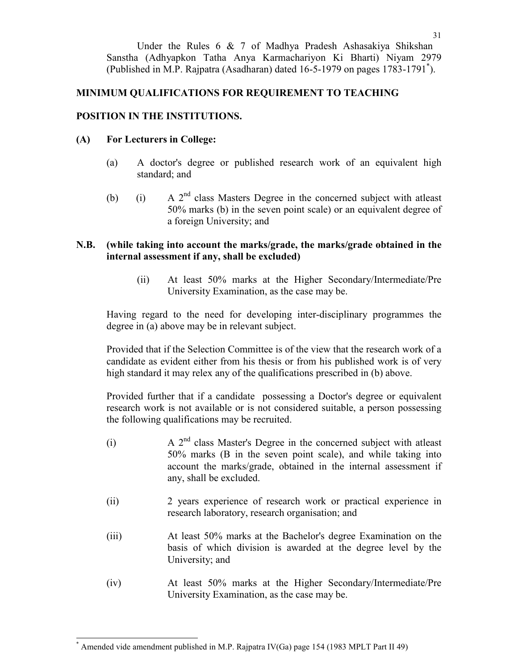Under the Rules 6 & 7 of Madhya Pradesh Ashasakiya Shikshan Sanstha (Adhyapkon Tatha Anya Karmachariyon Ki Bharti) Niyam 2979 (Published in M.P. Rajpatra (Asadharan) dated 16-5-1979 on pages 1783-1791\* ).

# MINIMUM QUALIFICATIONS FOR REQUIREMENT TO TEACHING

# POSITION IN THE INSTITUTIONS.

# (A) For Lecturers in College:

- (a) A doctor's degree or published research work of an equivalent high standard; and
- (b) (i) A  $2<sup>nd</sup>$  class Masters Degree in the concerned subject with atleast 50% marks (b) in the seven point scale) or an equivalent degree of a foreign University; and

## N.B. (while taking into account the marks/grade, the marks/grade obtained in the internal assessment if any, shall be excluded)

(ii) At least 50% marks at the Higher Secondary/Intermediate/Pre University Examination, as the case may be.

Having regard to the need for developing inter-disciplinary programmes the degree in (a) above may be in relevant subject.

Provided that if the Selection Committee is of the view that the research work of a candidate as evident either from his thesis or from his published work is of very high standard it may relex any of the qualifications prescribed in (b) above.

Provided further that if a candidate possessing a Doctor's degree or equivalent research work is not available or is not considered suitable, a person possessing the following qualifications may be recruited.

- (i) A 2nd class Master's Degree in the concerned subject with atleast 50% marks (B in the seven point scale), and while taking into account the marks/grade, obtained in the internal assessment if any, shall be excluded.
- (ii) 2 years experience of research work or practical experience in research laboratory, research organisation; and
- (iii) At least 50% marks at the Bachelor's degree Examination on the basis of which division is awarded at the degree level by the University; and
- (iv) At least 50% marks at the Higher Secondary/Intermediate/Pre University Examination, as the case may be.

 $\overline{\phantom{a}}$ 

<sup>\*</sup> Amended vide amendment published in M.P. Rajpatra IV(Ga) page 154 (1983 MPLT Part II 49)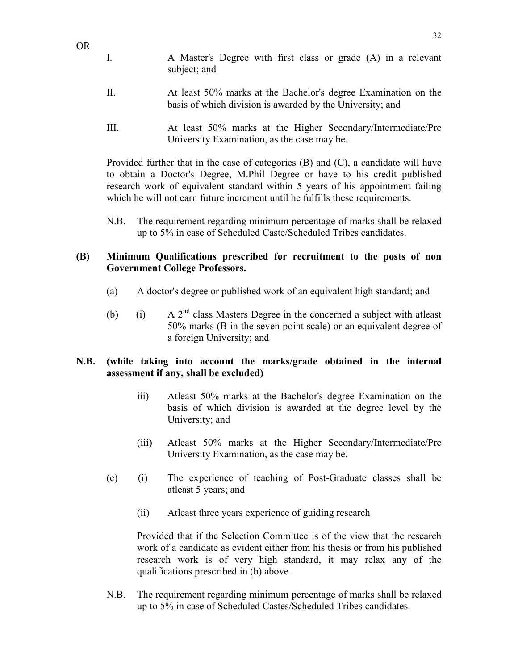I. A Master's Degree with first class or grade (A) in a relevant subject; and

OR

- II. At least 50% marks at the Bachelor's degree Examination on the basis of which division is awarded by the University; and
- III. At least 50% marks at the Higher Secondary/Intermediate/Pre University Examination, as the case may be.

Provided further that in the case of categories (B) and (C), a candidate will have to obtain a Doctor's Degree, M.Phil Degree or have to his credit published research work of equivalent standard within 5 years of his appointment failing which he will not earn future increment until he fulfills these requirements.

N.B. The requirement regarding minimum percentage of marks shall be relaxed up to 5% in case of Scheduled Caste/Scheduled Tribes candidates.

# (B) Minimum Qualifications prescribed for recruitment to the posts of non Government College Professors.

- (a) A doctor's degree or published work of an equivalent high standard; and
- (b) (i) A  $2<sup>nd</sup>$  class Masters Degree in the concerned a subject with at least 50% marks (B in the seven point scale) or an equivalent degree of a foreign University; and

### N.B. (while taking into account the marks/grade obtained in the internal assessment if any, shall be excluded)

- iii) Atleast 50% marks at the Bachelor's degree Examination on the basis of which division is awarded at the degree level by the University; and
- (iii) Atleast 50% marks at the Higher Secondary/Intermediate/Pre University Examination, as the case may be.
- (c) (i) The experience of teaching of Post-Graduate classes shall be atleast 5 years; and
	- (ii) Atleast three years experience of guiding research

Provided that if the Selection Committee is of the view that the research work of a candidate as evident either from his thesis or from his published research work is of very high standard, it may relax any of the qualifications prescribed in (b) above.

N.B. The requirement regarding minimum percentage of marks shall be relaxed up to 5% in case of Scheduled Castes/Scheduled Tribes candidates.